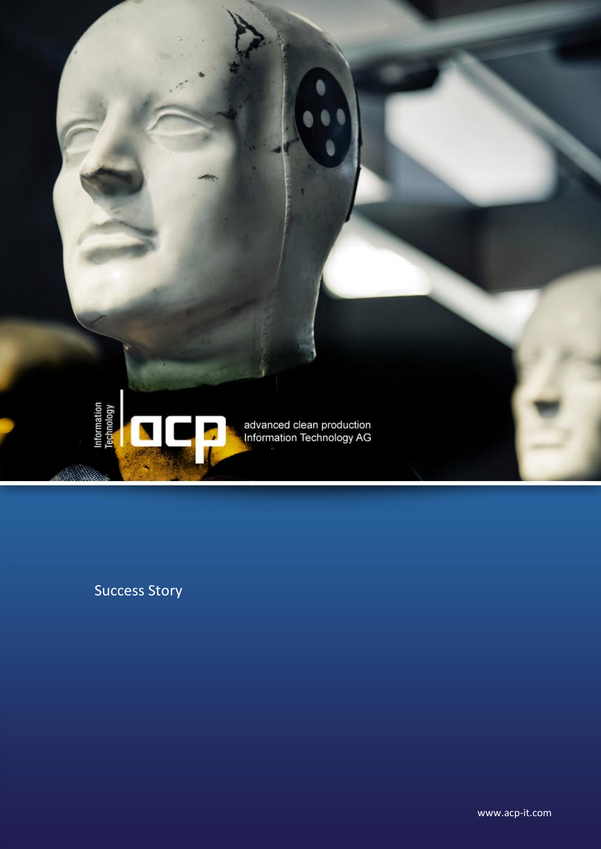

Success Story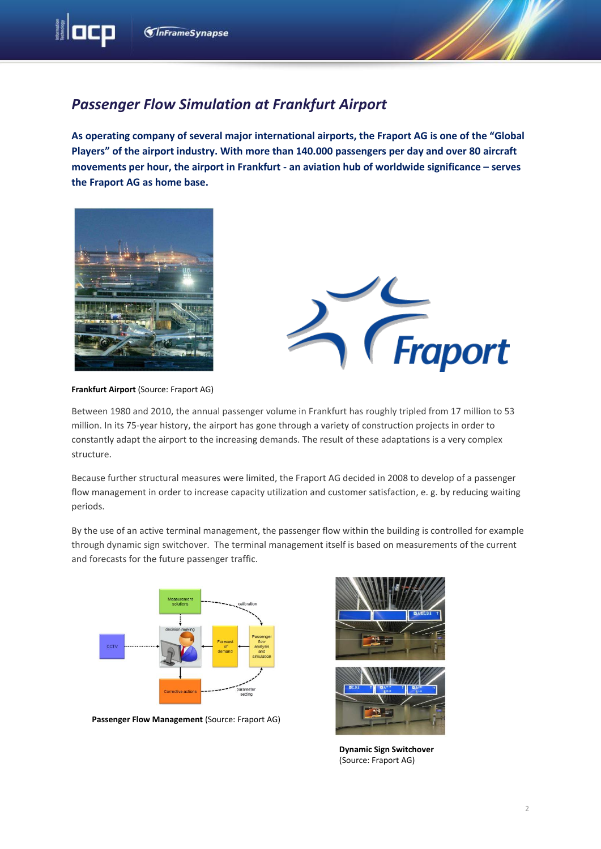**M**acp

## *Passenger Flow Simulation at Frankfurt Airport*

**As operating company of several major international airports, the Fraport AG is one of the "Global Players" of the airport industry. With more than 140.000 passengers per day and over 80 aircraft movements per hour, the airport in Frankfurt - an aviation hub of worldwide significance – serves the Fraport AG as home base.**





## **Frankfurt Airport** (Source: Fraport AG)

Between 1980 and 2010, the annual passenger volume in Frankfurt has roughly tripled from 17 million to 53 million. In its 75-year history, the airport has gone through a variety of construction projects in order to constantly adapt the airport to the increasing demands. The result of these adaptations is a very complex structure.

Because further structural measures were limited, the Fraport AG decided in 2008 to develop of a passenger flow management in order to increase capacity utilization and customer satisfaction, e. g. by reducing waiting periods.

By the use of an active terminal management, the passenger flow within the building is controlled for example through dynamic sign switchover. The terminal management itself is based on measurements of the current and forecasts for the future passenger traffic.



**Passenger Flow Management** (Source: Fraport AG)



**Dynamic Sign Switchover**  (Source: Fraport AG)